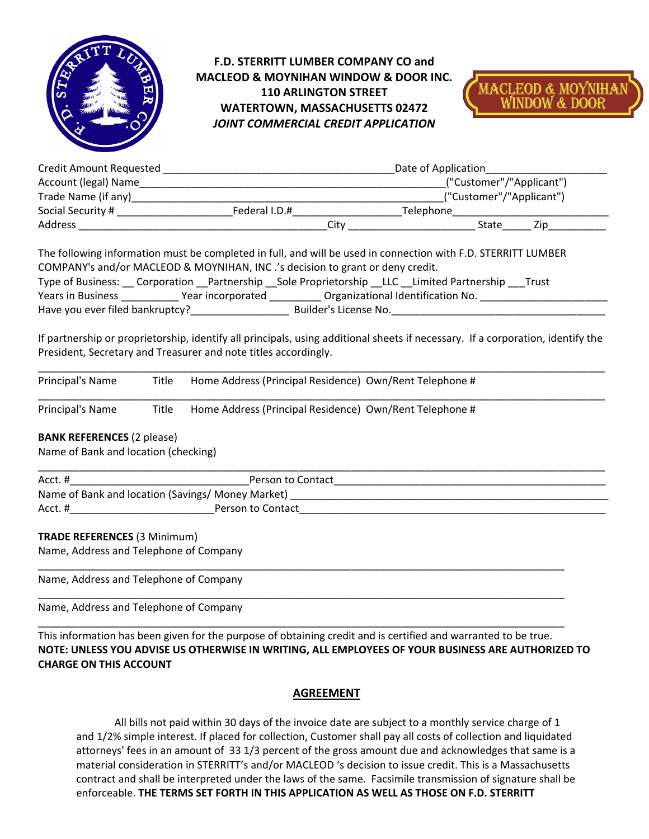

# **F.D. STERRITT LUMBER COMPANY CO and MACLEOD & MOYNIHAN WINDOW & DOOR INC. 110 ARLINGTON STREET WATERTOWN, MASSACHUSETTS 02472**  *JOINT COMMERCIAL CREDIT APPLICATION*



| Credit Amount Requested |               | Date of Application      |
|-------------------------|---------------|--------------------------|
| Account (legal) Name    |               | ("Customer"/"Applicant") |
| Trade Name (if any)     |               | ("Customer"/"Applicant") |
| Social Security #       | Federal I.D.# | Telephone                |
| <b>Address</b>          | Citv          | State<br>7in             |

The following information must be completed in full, and will be used in connection with F.D. STERRITT LUMBER COMPANY's and/or MACLEOD & MOYNIHAN, INC .'s decision to grant or deny credit. Type of Business: Corporation Partnership Sole Proprietorship LLC Limited Partnership Trust Years in Business \_\_\_\_\_\_\_\_\_\_\_\_Year incorporated \_\_\_\_\_\_\_\_\_\_\_ Organizational Identification No. \_\_\_\_\_\_\_\_\_\_\_\_\_\_\_\_

Have you ever filed bankruptcy? Builder's License No.

If partnership or proprietorship, identify all principals, using additional sheets if necessary. If a corporation, identify the President, Secretary and Treasurer and note titles accordingly.

| Principal's Name | Title | Home Address (Principal Residence) Own/Rent Telephone # |
|------------------|-------|---------------------------------------------------------|
| Principal's Name | Title | Home Address (Principal Residence) Own/Rent Telephone # |

# **BANK REFERENCES** (2 please)

Name of Bank and location (checking)

| Acct.#                                            | Person to Contact |  |
|---------------------------------------------------|-------------------|--|
| Name of Bank and location (Savings/ Money Market) |                   |  |
| Acct.#                                            | Person to Contact |  |

# **TRADE REFERENCES** (3 Minimum)

Name, Address and Telephone of Company

Name, Address and Telephone of Company

Name, Address and Telephone of Company

This information has been given for the purpose of obtaining credit and is certified and warranted to be true. **NOTE: UNLESS YOU ADVISE US OTHERWISE IN WRITING, ALL EMPLOYEES OF YOUR BUSINESS ARE AUTHORIZED TO CHARGE ON THIS ACCOUNT** 

\_\_\_\_\_\_\_\_\_\_\_\_\_\_\_\_\_\_\_\_\_\_\_\_\_\_\_\_\_\_\_\_\_\_\_\_\_\_\_\_\_\_\_\_\_\_\_\_\_\_\_\_\_\_\_\_\_\_\_\_\_\_\_\_\_\_\_\_\_\_\_\_\_\_\_\_\_\_\_\_\_\_\_\_\_\_\_\_\_\_\_

\_\_\_\_\_\_\_\_\_\_\_\_\_\_\_\_\_\_\_\_\_\_\_\_\_\_\_\_\_\_\_\_\_\_\_\_\_\_\_\_\_\_\_\_\_\_\_\_\_\_\_\_\_\_\_\_\_\_\_\_\_\_\_\_\_\_\_\_\_\_\_\_\_\_\_\_\_\_\_\_\_\_\_\_\_\_\_\_\_\_\_

\_\_\_\_\_\_\_\_\_\_\_\_\_\_\_\_\_\_\_\_\_\_\_\_\_\_\_\_\_\_\_\_\_\_\_\_\_\_\_\_\_\_\_\_\_\_\_\_\_\_\_\_\_\_\_\_\_\_\_\_\_\_\_\_\_\_\_\_\_\_\_\_\_\_\_\_\_\_\_\_\_\_\_\_\_\_\_\_\_\_\_

# **AGREEMENT**

All bills not paid within 30 days of the invoice date are subject to a monthly service charge of 1 and 1/2% simple interest. If placed for collection, Customer shall pay all costs of collection and liquidated attorneys' fees in an amount of 33 1/3 percent of the gross amount due and acknowledges that same is a material consideration in STERRITT's and/or MACLEOD 's decision to issue credit. This is a Massachusetts contract and shall be interpreted under the laws of the same. Facsimile transmission of signature shall be enforceable. **THE TERMS SET FORTH IN THIS APPLICATION AS WELL AS THOSE ON F.D. STERRITT**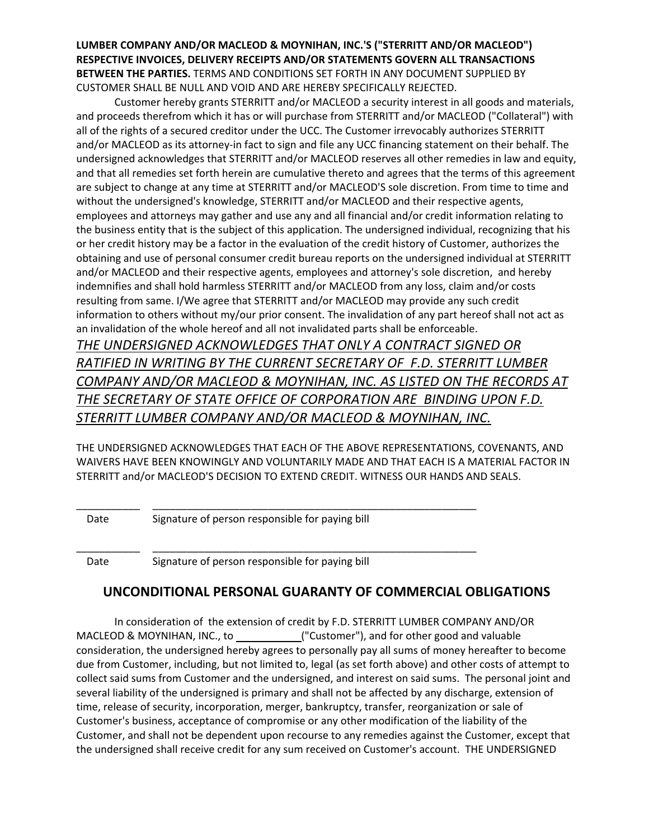**LUMBER COMPANY AND/OR MACLEOD & MOYNIHAN, INC.'S ("STERRITT AND/OR MACLEOD") RESPECTIVE INVOICES, DELIVERY RECEIPTS AND/OR STATEMENTS GOVERN ALL TRANSACTIONS BETWEEN THE PARTIES.** TERMS AND CONDITIONS SET FORTH IN ANY DOCUMENT SUPPLIED BY CUSTOMER SHALL BE NULL AND VOID AND ARE HEREBY SPECIFICALLY REJECTED.

Customer hereby grants STERRITT and/or MACLEOD a security interest in all goods and materials, and proceeds therefrom which it has or will purchase from STERRITT and/or MACLEOD ("Collateral") with all of the rights of a secured creditor under the UCC. The Customer irrevocably authorizes STERRITT and/or MACLEOD as its attorney-in fact to sign and file any UCC financing statement on their behalf. The undersigned acknowledges that STERRITT and/or MACLEOD reserves all other remedies in law and equity, and that all remedies set forth herein are cumulative thereto and agrees that the terms of this agreement are subject to change at any time at STERRITT and/or MACLEOD'S sole discretion. From time to time and without the undersigned's knowledge, STERRITT and/or MACLEOD and their respective agents, employees and attorneys may gather and use any and all financial and/or credit information relating to the business entity that is the subject of this application. The undersigned individual, recognizing that his or her credit history may be a factor in the evaluation of the credit history of Customer, authorizes the obtaining and use of personal consumer credit bureau reports on the undersigned individual at STERRITT and/or MACLEOD and their respective agents, employees and attorney's sole discretion, and hereby indemnifies and shall hold harmless STERRITT and/or MACLEOD from any loss, claim and/or costs resulting from same. I/We agree that STERRITT and/or MACLEOD may provide any such credit information to others without my/our prior consent. The invalidation of any part hereof shall not act as an invalidation of the whole hereof and all not invalidated parts shall be enforceable.

*THE UNDERSIGNED ACKNOWLEDGES THAT ONLY A CONTRACT SIGNED OR RATIFIED IN WRITING BY THE CURRENT SECRETARY OF F.D. STERRITT LUMBER COMPANY AND/OR MACLEOD & MOYNIHAN, INC. AS LISTED ON THE RECORDS AT THE SECRETARY OF STATE OFFICE OF CORPORATION ARE BINDING UPON F.D. STERRITT LUMBER COMPANY AND/OR MACLEOD & MOYNIHAN, INC.* 

THE UNDERSIGNED ACKNOWLEDGES THAT EACH OF THE ABOVE REPRESENTATIONS, COVENANTS, AND WAIVERS HAVE BEEN KNOWINGLY AND VOLUNTARILY MADE AND THAT EACH IS A MATERIAL FACTOR IN STERRITT and/or MACLEOD'S DECISION TO EXTEND CREDIT. WITNESS OUR HANDS AND SEALS.

Date Signature of person responsible for paying bill

\_\_\_\_\_\_\_\_\_\_\_ \_\_\_\_\_\_\_\_\_\_\_\_\_\_\_\_\_\_\_\_\_\_\_\_\_\_\_\_\_\_\_\_\_\_\_\_\_\_\_\_\_\_\_\_\_\_\_\_\_\_\_\_\_\_\_\_

\_\_\_\_\_\_\_\_\_\_\_ \_\_\_\_\_\_\_\_\_\_\_\_\_\_\_\_\_\_\_\_\_\_\_\_\_\_\_\_\_\_\_\_\_\_\_\_\_\_\_\_\_\_\_\_\_\_\_\_\_\_\_\_\_\_\_\_

Date Signature of person responsible for paying bill

# **UNCONDITIONAL PERSONAL GUARANTY OF COMMERCIAL OBLIGATIONS**

In consideration of the extension of credit by F.D. STERRITT LUMBER COMPANY AND/OR MACLEOD & MOYNIHAN, INC., to ("Customer"), and for other good and valuable consideration, the undersigned hereby agrees to personally pay all sums of money hereafter to become due from Customer, including, but not limited to, legal (as set forth above) and other costs of attempt to collect said sums from Customer and the undersigned, and interest on said sums. The personal joint and several liability of the undersigned is primary and shall not be affected by any discharge, extension of time, release of security, incorporation, merger, bankruptcy, transfer, reorganization or sale of Customer's business, acceptance of compromise or any other modification of the liability of the Customer, and shall not be dependent upon recourse to any remedies against the Customer, except that the undersigned shall receive credit for any sum received on Customer's account. THE UNDERSIGNED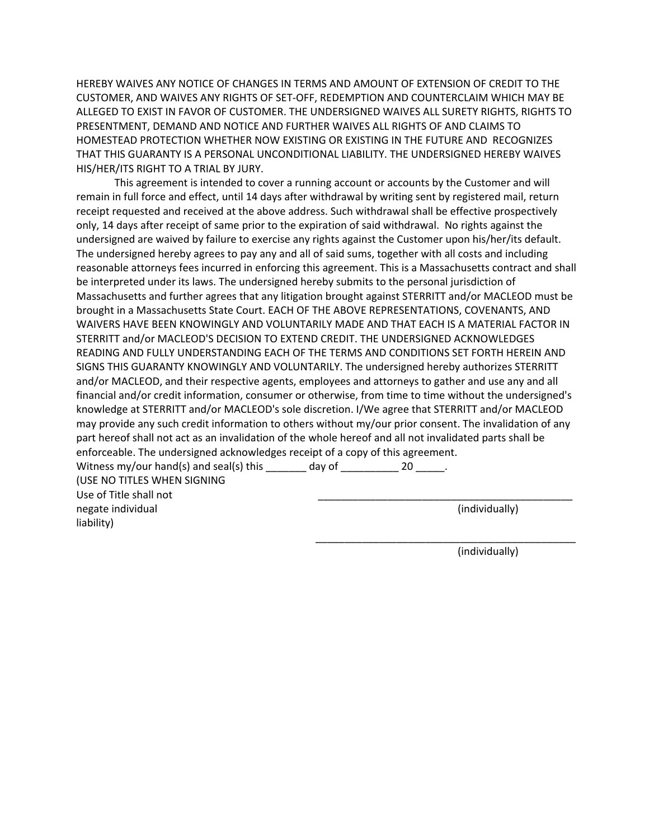HEREBY WAIVES ANY NOTICE OF CHANGES IN TERMS AND AMOUNT OF EXTENSION OF CREDIT TO THE CUSTOMER, AND WAIVES ANY RIGHTS OF SET-OFF, REDEMPTION AND COUNTERCLAIM WHICH MAY BE ALLEGED TO EXIST IN FAVOR OF CUSTOMER. THE UNDERSIGNED WAIVES ALL SURETY RIGHTS, RIGHTS TO PRESENTMENT, DEMAND AND NOTICE AND FURTHER WAIVES ALL RIGHTS OF AND CLAIMS TO HOMESTEAD PROTECTION WHETHER NOW EXISTING OR EXISTING IN THE FUTURE AND RECOGNIZES THAT THIS GUARANTY IS A PERSONAL UNCONDITIONAL LIABILITY. THE UNDERSIGNED HEREBY WAIVES HIS/HER/ITS RIGHT TO A TRIAL BY JURY.

 This agreement is intended to cover a running account or accounts by the Customer and will remain in full force and effect, until 14 days after withdrawal by writing sent by registered mail, return receipt requested and received at the above address. Such withdrawal shall be effective prospectively only, 14 days after receipt of same prior to the expiration of said withdrawal. No rights against the undersigned are waived by failure to exercise any rights against the Customer upon his/her/its default. The undersigned hereby agrees to pay any and all of said sums, together with all costs and including reasonable attorneys fees incurred in enforcing this agreement. This is a Massachusetts contract and shall be interpreted under its laws. The undersigned hereby submits to the personal jurisdiction of Massachusetts and further agrees that any litigation brought against STERRITT and/or MACLEOD must be brought in a Massachusetts State Court. EACH OF THE ABOVE REPRESENTATIONS, COVENANTS, AND WAIVERS HAVE BEEN KNOWINGLY AND VOLUNTARILY MADE AND THAT EACH IS A MATERIAL FACTOR IN STERRITT and/or MACLEOD'S DECISION TO EXTEND CREDIT. THE UNDERSIGNED ACKNOWLEDGES READING AND FULLY UNDERSTANDING EACH OF THE TERMS AND CONDITIONS SET FORTH HEREIN AND SIGNS THIS GUARANTY KNOWINGLY AND VOLUNTARILY. The undersigned hereby authorizes STERRITT and/or MACLEOD, and their respective agents, employees and attorneys to gather and use any and all financial and/or credit information, consumer or otherwise, from time to time without the undersigned's knowledge at STERRITT and/or MACLEOD's sole discretion. I/We agree that STERRITT and/or MACLEOD may provide any such credit information to others without my/our prior consent. The invalidation of any part hereof shall not act as an invalidation of the whole hereof and all not invalidated parts shall be enforceable. The undersigned acknowledges receipt of a copy of this agreement. Witness my/our hand(s) and seal(s) this  $\frac{1}{\frac{1}{2}}$  day of  $\frac{1}{\frac{1}{2}}$  20  $\frac{1}{\frac{1}{2}}$ .

(USE NO TITLES WHEN SIGNING Use of Title shall not negate individual and the contract of the contract of the contract of the contract of the contract of the contract of the contract of the contract of the contract of the contract of the contract of the contract of the cont liability)

(individually)

\_\_\_\_\_\_\_\_\_\_\_\_\_\_\_\_\_\_\_\_\_\_\_\_\_\_\_\_\_\_\_\_\_\_\_\_\_\_\_\_\_\_\_\_\_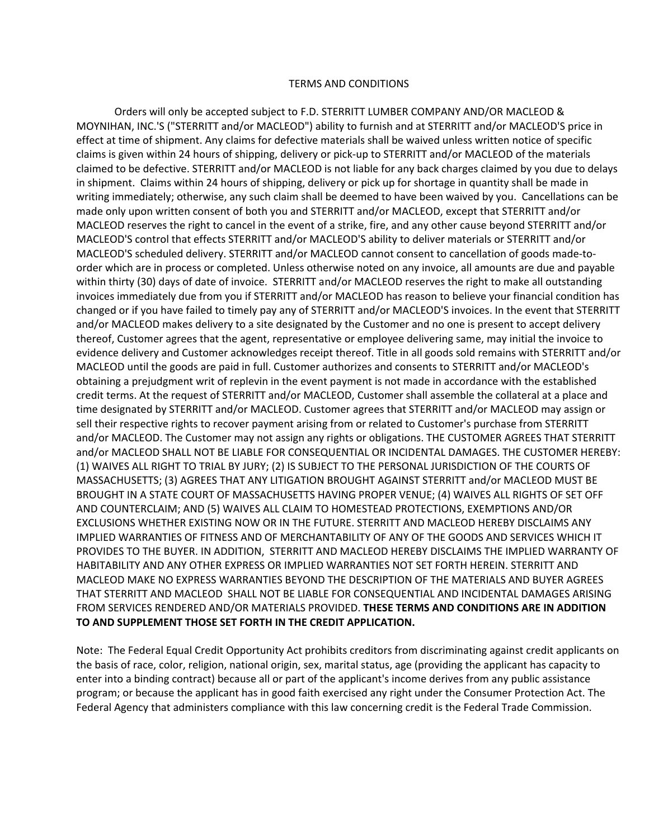#### TERMS AND CONDITIONS

Orders will only be accepted subject to F.D. STERRITT LUMBER COMPANY AND/OR MACLEOD & MOYNIHAN, INC.'S ("STERRITT and/or MACLEOD") ability to furnish and at STERRITT and/or MACLEOD'S price in effect at time of shipment. Any claims for defective materials shall be waived unless written notice of specific claims is given within 24 hours of shipping, delivery or pick-up to STERRITT and/or MACLEOD of the materials claimed to be defective. STERRITT and/or MACLEOD is not liable for any back charges claimed by you due to delays in shipment. Claims within 24 hours of shipping, delivery or pick up for shortage in quantity shall be made in writing immediately; otherwise, any such claim shall be deemed to have been waived by you. Cancellations can be made only upon written consent of both you and STERRITT and/or MACLEOD, except that STERRITT and/or MACLEOD reserves the right to cancel in the event of a strike, fire, and any other cause beyond STERRITT and/or MACLEOD'S control that effects STERRITT and/or MACLEOD'S ability to deliver materials or STERRITT and/or MACLEOD'S scheduled delivery. STERRITT and/or MACLEOD cannot consent to cancellation of goods made-toorder which are in process or completed. Unless otherwise noted on any invoice, all amounts are due and payable within thirty (30) days of date of invoice. STERRITT and/or MACLEOD reserves the right to make all outstanding invoices immediately due from you if STERRITT and/or MACLEOD has reason to believe your financial condition has changed or if you have failed to timely pay any of STERRITT and/or MACLEOD'S invoices. In the event that STERRITT and/or MACLEOD makes delivery to a site designated by the Customer and no one is present to accept delivery thereof, Customer agrees that the agent, representative or employee delivering same, may initial the invoice to evidence delivery and Customer acknowledges receipt thereof. Title in all goods sold remains with STERRITT and/or MACLEOD until the goods are paid in full. Customer authorizes and consents to STERRITT and/or MACLEOD's obtaining a prejudgment writ of replevin in the event payment is not made in accordance with the established credit terms. At the request of STERRITT and/or MACLEOD, Customer shall assemble the collateral at a place and time designated by STERRITT and/or MACLEOD. Customer agrees that STERRITT and/or MACLEOD may assign or sell their respective rights to recover payment arising from or related to Customer's purchase from STERRITT and/or MACLEOD. The Customer may not assign any rights or obligations. THE CUSTOMER AGREES THAT STERRITT and/or MACLEOD SHALL NOT BE LIABLE FOR CONSEQUENTIAL OR INCIDENTAL DAMAGES. THE CUSTOMER HEREBY: (1) WAIVES ALL RIGHT TO TRIAL BY JURY; (2) IS SUBJECT TO THE PERSONAL JURISDICTION OF THE COURTS OF MASSACHUSETTS; (3) AGREES THAT ANY LITIGATION BROUGHT AGAINST STERRITT and/or MACLEOD MUST BE BROUGHT IN A STATE COURT OF MASSACHUSETTS HAVING PROPER VENUE; (4) WAIVES ALL RIGHTS OF SET OFF AND COUNTERCLAIM; AND (5) WAIVES ALL CLAIM TO HOMESTEAD PROTECTIONS, EXEMPTIONS AND/OR EXCLUSIONS WHETHER EXISTING NOW OR IN THE FUTURE. STERRITT AND MACLEOD HEREBY DISCLAIMS ANY IMPLIED WARRANTIES OF FITNESS AND OF MERCHANTABILITY OF ANY OF THE GOODS AND SERVICES WHICH IT PROVIDES TO THE BUYER. IN ADDITION, STERRITT AND MACLEOD HEREBY DISCLAIMS THE IMPLIED WARRANTY OF HABITABILITY AND ANY OTHER EXPRESS OR IMPLIED WARRANTIES NOT SET FORTH HEREIN. STERRITT AND MACLEOD MAKE NO EXPRESS WARRANTIES BEYOND THE DESCRIPTION OF THE MATERIALS AND BUYER AGREES THAT STERRITT AND MACLEOD SHALL NOT BE LIABLE FOR CONSEQUENTIAL AND INCIDENTAL DAMAGES ARISING FROM SERVICES RENDERED AND/OR MATERIALS PROVIDED. **THESE TERMS AND CONDITIONS ARE IN ADDITION TO AND SUPPLEMENT THOSE SET FORTH IN THE CREDIT APPLICATION.** 

Note: The Federal Equal Credit Opportunity Act prohibits creditors from discriminating against credit applicants on the basis of race, color, religion, national origin, sex, marital status, age (providing the applicant has capacity to enter into a binding contract) because all or part of the applicant's income derives from any public assistance program; or because the applicant has in good faith exercised any right under the Consumer Protection Act. The Federal Agency that administers compliance with this law concerning credit is the Federal Trade Commission.